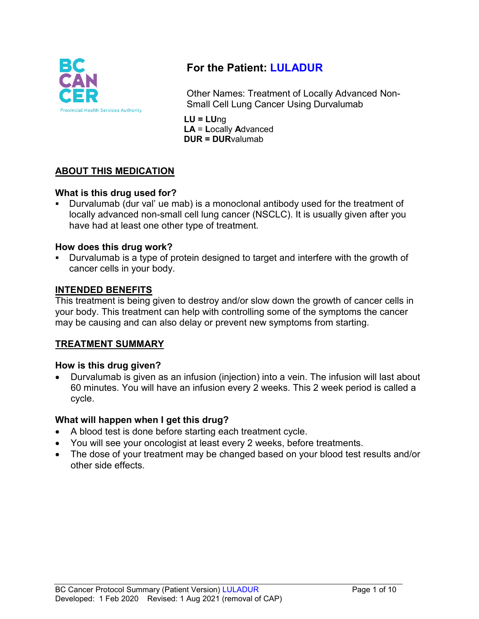

# **For the Patient: LULADUR**

Other Names: Treatment of Locally Advanced Non-Small Cell Lung Cancer Using Durvalumab

**LU = LU**ng **LA** = **L**ocally **A**dvanced **DUR = DUR**valumab

# **ABOUT THIS MEDICATION**

## **What is this drug used for?**

 Durvalumab (dur val' ue mab) is a monoclonal antibody used for the treatment of locally advanced non-small cell lung cancer (NSCLC). It is usually given after you have had at least one other type of treatment.

## **How does this drug work?**

 Durvalumab is a type of protein designed to target and interfere with the growth of cancer cells in your body.

## **INTENDED BENEFITS**

This treatment is being given to destroy and/or slow down the growth of cancer cells in your body. This treatment can help with controlling some of the symptoms the cancer may be causing and can also delay or prevent new symptoms from starting.

## **TREATMENT SUMMARY**

## **How is this drug given?**

• Durvalumab is given as an infusion (injection) into a vein. The infusion will last about 60 minutes. You will have an infusion every 2 weeks. This 2 week period is called a cycle.

## **What will happen when I get this drug?**

- A blood test is done before starting each treatment cycle.
- You will see your oncologist at least every 2 weeks, before treatments.
- The dose of your treatment may be changed based on your blood test results and/or other side effects.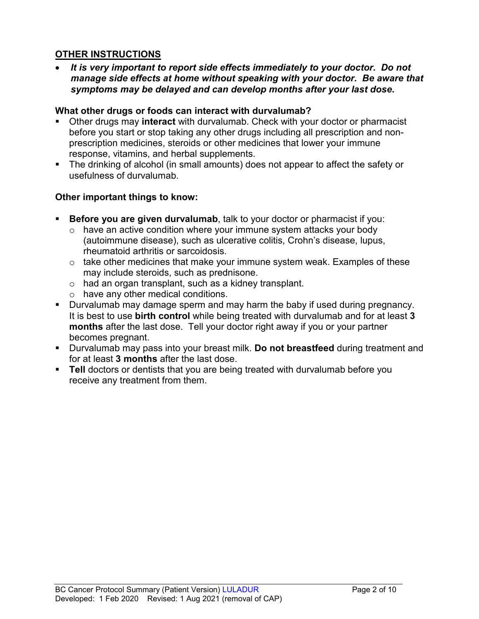## **OTHER INSTRUCTIONS**

• *It is very important to report side effects immediately to your doctor. Do not manage side effects at home without speaking with your doctor. Be aware that symptoms may be delayed and can develop months after your last dose.*

#### **What other drugs or foods can interact with durvalumab?**

- Other drugs may **interact** with durvalumab. Check with your doctor or pharmacist before you start or stop taking any other drugs including all prescription and nonprescription medicines, steroids or other medicines that lower your immune response, vitamins, and herbal supplements.
- The drinking of alcohol (in small amounts) does not appear to affect the safety or usefulness of durvalumab.

## **Other important things to know:**

- **Before you are given durvalumab**, talk to your doctor or pharmacist if you:
	- $\circ$  have an active condition where your immune system attacks your body (autoimmune disease), such as ulcerative colitis, Crohn's disease, lupus, rheumatoid arthritis or sarcoidosis.
	- $\circ$  take other medicines that make your immune system weak. Examples of these may include steroids, such as prednisone.
	- o had an organ transplant, such as a kidney transplant.
	- o have any other medical conditions.
- **Durvalumab may damage sperm and may harm the baby if used during pregnancy.** It is best to use **birth control** while being treated with durvalumab and for at least **3 months** after the last dose. Tell your doctor right away if you or your partner becomes pregnant.
- Durvalumab may pass into your breast milk. **Do not breastfeed** during treatment and for at least **3 months** after the last dose.
- **Tell** doctors or dentists that you are being treated with durvalumab before you receive any treatment from them.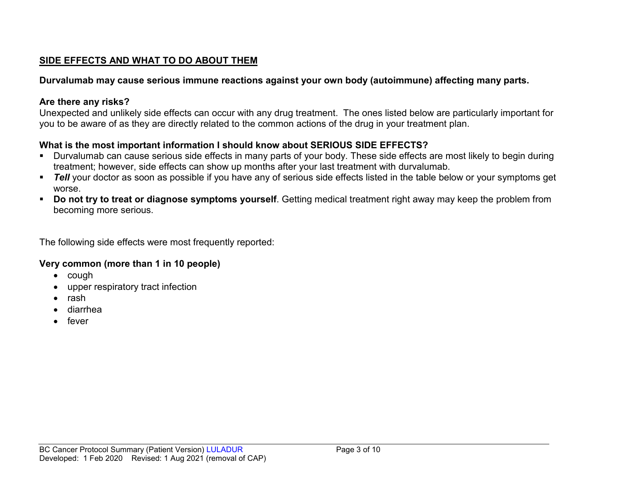## **SIDE EFFECTS AND WHAT TO DO ABOUT THEM**

## **Durvalumab may cause serious immune reactions against your own body (autoimmune) affecting many parts.**

## **Are there any risks?**

Unexpected and unlikely side effects can occur with any drug treatment. The ones listed below are particularly important for you to be aware of as they are directly related to the common actions of the drug in your treatment plan.

## **What is the most important information I should know about SERIOUS SIDE EFFECTS?**

- Durvalumab can cause serious side effects in many parts of your body. These side effects are most likely to begin during treatment; however, side effects can show up months after your last treatment with durvalumab.
- **Tell** your doctor as soon as possible if you have any of serious side effects listed in the table below or your symptoms get worse.
- **Do not try to treat or diagnose symptoms yourself**. Getting medical treatment right away may keep the problem from becoming more serious.

The following side effects were most frequently reported:

## **Very common (more than 1 in 10 people)**

- cough
- upper respiratory tract infection
- rash
- diarrhea
- fever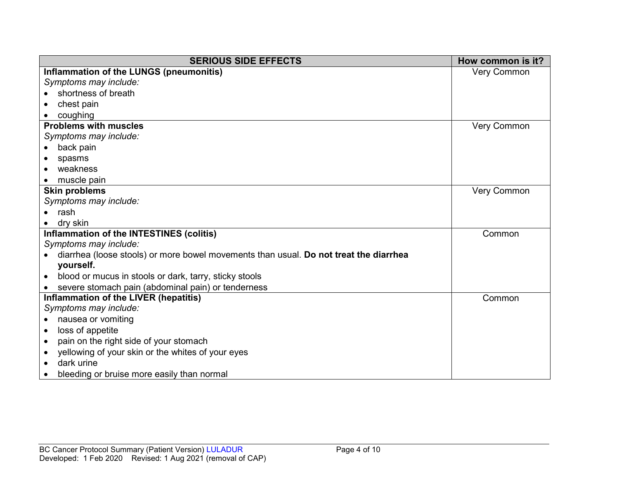| <b>SERIOUS SIDE EFFECTS</b>                                                           | How common is it?  |
|---------------------------------------------------------------------------------------|--------------------|
| Inflammation of the LUNGS (pneumonitis)                                               | <b>Very Common</b> |
| Symptoms may include:                                                                 |                    |
| shortness of breath                                                                   |                    |
| chest pain                                                                            |                    |
| coughing                                                                              |                    |
| <b>Problems with muscles</b>                                                          | <b>Very Common</b> |
| Symptoms may include:                                                                 |                    |
| back pain<br>$\bullet$                                                                |                    |
| spasms                                                                                |                    |
| weakness                                                                              |                    |
| muscle pain                                                                           |                    |
| <b>Skin problems</b>                                                                  | <b>Very Common</b> |
| Symptoms may include:                                                                 |                    |
| rash                                                                                  |                    |
| dry skin                                                                              |                    |
| Inflammation of the INTESTINES (colitis)                                              | Common             |
| Symptoms may include:                                                                 |                    |
| diarrhea (loose stools) or more bowel movements than usual. Do not treat the diarrhea |                    |
| yourself.                                                                             |                    |
| blood or mucus in stools or dark, tarry, sticky stools<br>$\bullet$                   |                    |
| severe stomach pain (abdominal pain) or tenderness                                    |                    |
| Inflammation of the LIVER (hepatitis)                                                 | Common             |
| Symptoms may include:                                                                 |                    |
| nausea or vomiting<br>$\bullet$                                                       |                    |
| loss of appetite<br>$\bullet$                                                         |                    |
| pain on the right side of your stomach<br>$\bullet$                                   |                    |
| yellowing of your skin or the whites of your eyes                                     |                    |
| dark urine                                                                            |                    |
| bleeding or bruise more easily than normal                                            |                    |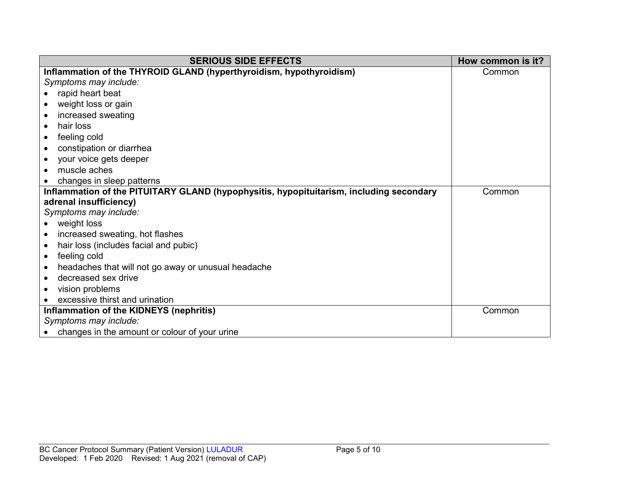| <b>SERIOUS SIDE EFFECTS</b>                                                             | How common is it? |
|-----------------------------------------------------------------------------------------|-------------------|
| Inflammation of the THYROID GLAND (hyperthyroidism, hypothyroidism)                     | Common            |
| Symptoms may include:                                                                   |                   |
| rapid heart beat                                                                        |                   |
| weight loss or gain                                                                     |                   |
| increased sweating                                                                      |                   |
| hair loss<br>$\bullet$                                                                  |                   |
| feeling cold<br>$\bullet$                                                               |                   |
| constipation or diarrhea<br>$\bullet$                                                   |                   |
| your voice gets deeper                                                                  |                   |
| muscle aches<br>$\bullet$                                                               |                   |
| changes in sleep patterns                                                               |                   |
| Inflammation of the PITUITARY GLAND (hypophysitis, hypopituitarism, including secondary | Common            |
| adrenal insufficiency)                                                                  |                   |
| Symptoms may include:                                                                   |                   |
| weight loss                                                                             |                   |
| increased sweating, hot flashes<br>$\bullet$                                            |                   |
| hair loss (includes facial and pubic)<br>$\bullet$                                      |                   |
| feeling cold<br>$\bullet$                                                               |                   |
| headaches that will not go away or unusual headache<br>$\bullet$                        |                   |
| decreased sex drive                                                                     |                   |
| vision problems<br>$\bullet$                                                            |                   |
| excessive thirst and urination                                                          |                   |
| Inflammation of the KIDNEYS (nephritis)                                                 | Common            |
| Symptoms may include:                                                                   |                   |
| changes in the amount or colour of your urine                                           |                   |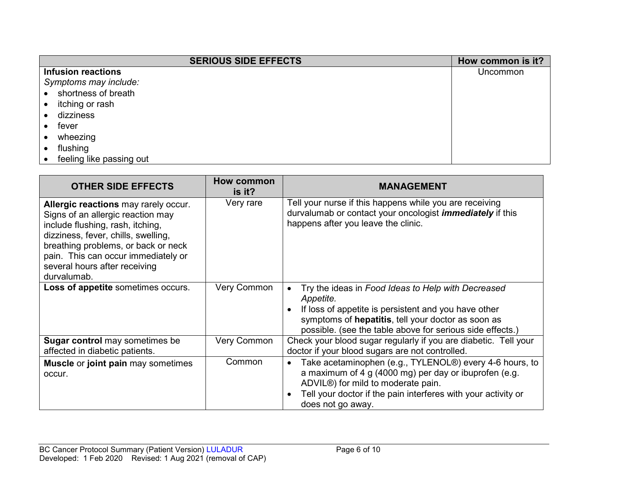| <b>SERIOUS SIDE EFFECTS</b> | How common is it? |
|-----------------------------|-------------------|
| <b>Infusion reactions</b>   | Uncommon          |
| Symptoms may include:       |                   |
| shortness of breath         |                   |
| itching or rash             |                   |
| dizziness                   |                   |
| fever                       |                   |
| wheezing                    |                   |
| flushing                    |                   |
| feeling like passing out    |                   |

| <b>OTHER SIDE EFFECTS</b>                                                                                                                                                                                                                                                          | How common<br>is it? | <b>MANAGEMENT</b>                                                                                                                                                                                                                                         |
|------------------------------------------------------------------------------------------------------------------------------------------------------------------------------------------------------------------------------------------------------------------------------------|----------------------|-----------------------------------------------------------------------------------------------------------------------------------------------------------------------------------------------------------------------------------------------------------|
| Allergic reactions may rarely occur.<br>Signs of an allergic reaction may<br>include flushing, rash, itching,<br>dizziness, fever, chills, swelling,<br>breathing problems, or back or neck<br>pain. This can occur immediately or<br>several hours after receiving<br>durvalumab. | Very rare            | Tell your nurse if this happens while you are receiving<br>durvalumab or contact your oncologist <i>immediately</i> if this<br>happens after you leave the clinic.                                                                                        |
| Loss of appetite sometimes occurs.                                                                                                                                                                                                                                                 | Very Common          | Try the ideas in Food Ideas to Help with Decreased<br>Appetite.<br>If loss of appetite is persistent and you have other<br>symptoms of hepatitis, tell your doctor as soon as<br>possible. (see the table above for serious side effects.)                |
| <b>Sugar control</b> may sometimes be<br>affected in diabetic patients.                                                                                                                                                                                                            | Very Common          | Check your blood sugar regularly if you are diabetic. Tell your<br>doctor if your blood sugars are not controlled.                                                                                                                                        |
| <b>Muscle or joint pain may sometimes</b><br>occur.                                                                                                                                                                                                                                | Common               | Take acetaminophen (e.g., TYLENOL®) every 4-6 hours, to<br>$\bullet$<br>a maximum of 4 g (4000 mg) per day or ibuprofen (e.g.<br>ADVIL®) for mild to moderate pain.<br>Tell your doctor if the pain interferes with your activity or<br>does not go away. |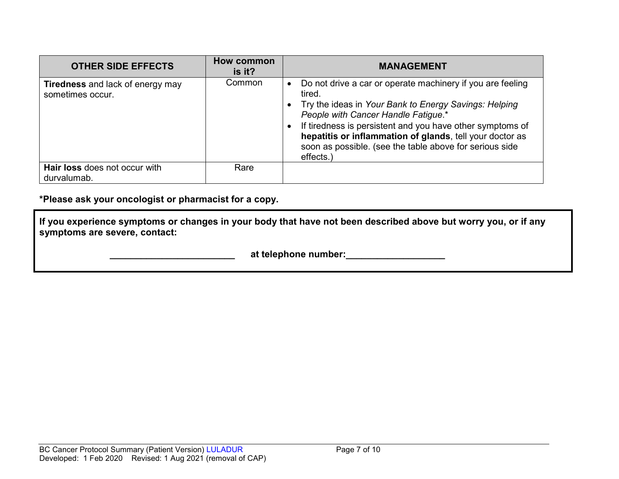| <b>OTHER SIDE EFFECTS</b>                                   | How common<br>is it? | <b>MANAGEMENT</b>                                                                                                                                                                                                                                                                                                                                                     |
|-------------------------------------------------------------|----------------------|-----------------------------------------------------------------------------------------------------------------------------------------------------------------------------------------------------------------------------------------------------------------------------------------------------------------------------------------------------------------------|
| <b>Tiredness</b> and lack of energy may<br>sometimes occur. | Common               | Do not drive a car or operate machinery if you are feeling<br>tired.<br>Try the ideas in Your Bank to Energy Savings: Helping<br>People with Cancer Handle Fatigue.*<br>If tiredness is persistent and you have other symptoms of<br>hepatitis or inflammation of glands, tell your doctor as<br>soon as possible. (see the table above for serious side<br>effects.) |
| Hair loss does not occur with<br>durvalumab.                | Rare                 |                                                                                                                                                                                                                                                                                                                                                                       |

**\*Please ask your oncologist or pharmacist for a copy.**

**If you experience symptoms or changes in your body that have not been described above but worry you, or if any symptoms are severe, contact:**

 **at telephone number:**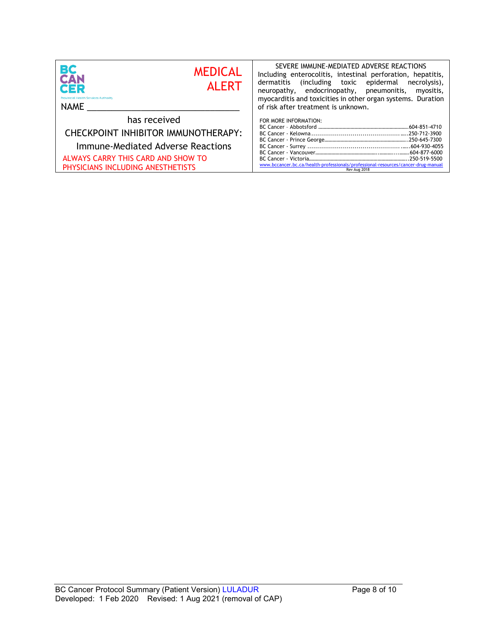| ВC<br><b>MEDICAL</b><br><b>CAN</b><br><b>ALERT</b><br>CER<br><b>Provincial Health Services Authority</b><br>NAME | SEVERE IMMUNE-MEDIATED ADVERSE REACTIONS<br>Including enterocolitis, intestinal perforation, hepatitis,<br>dermatitis (including toxic epidermal necrolysis),<br>neuropathy, endocrinopathy, pneumonitis,<br>myositis,<br>myocarditis and toxicities in other organ systems. Duration<br>of risk after treatment is unknown. |
|------------------------------------------------------------------------------------------------------------------|------------------------------------------------------------------------------------------------------------------------------------------------------------------------------------------------------------------------------------------------------------------------------------------------------------------------------|
| has received                                                                                                     | FOR MORE INFORMATION:                                                                                                                                                                                                                                                                                                        |
| CHECKPOINT INHIBITOR IMMUNOTHERAPY:                                                                              |                                                                                                                                                                                                                                                                                                                              |
| Immune-Mediated Adverse Reactions                                                                                |                                                                                                                                                                                                                                                                                                                              |
| ALWAYS CARRY THIS CARD AND SHOW TO<br>PHYSICIANS INCLUDING ANESTHETISTS                                          | www.bccancer.bc.ca/health-professionals/professional-resources/cancer-drug-manual<br>Rev Aug 2018                                                                                                                                                                                                                            |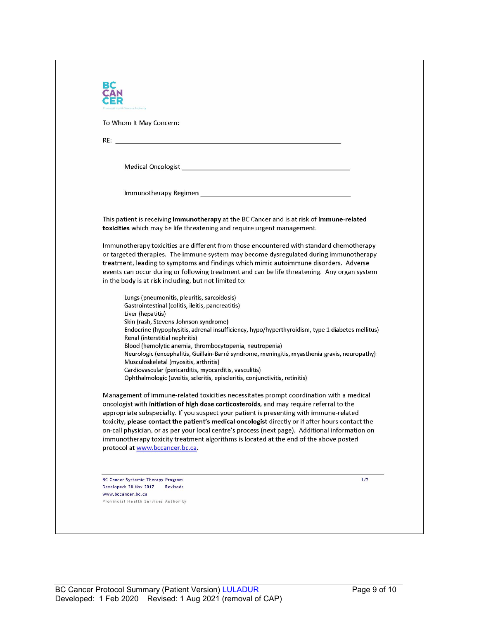| To Whom It May Concern:                                                                                                                                                                                                                                                                                                                                                            |
|------------------------------------------------------------------------------------------------------------------------------------------------------------------------------------------------------------------------------------------------------------------------------------------------------------------------------------------------------------------------------------|
|                                                                                                                                                                                                                                                                                                                                                                                    |
|                                                                                                                                                                                                                                                                                                                                                                                    |
|                                                                                                                                                                                                                                                                                                                                                                                    |
|                                                                                                                                                                                                                                                                                                                                                                                    |
| This patient is receiving immunotherapy at the BC Cancer and is at risk of immune-related<br>toxicities which may be life threatening and require urgent management.                                                                                                                                                                                                               |
| Immunotherapy toxicities are different from those encountered with standard chemotherapy<br>or targeted therapies. The immune system may become dysregulated during immunotherapy<br>treatment, leading to symptoms and findings which mimic autoimmune disorders. Adverse<br>events can occur during or following treatment and can be life threatening. Any organ system         |
| in the body is at risk including, but not limited to:                                                                                                                                                                                                                                                                                                                              |
| Lungs (pneumonitis, pleuritis, sarcoidosis)<br>Gastrointestinal (colitis, ileitis, pancreatitis)<br>Liver (hepatitis)                                                                                                                                                                                                                                                              |
| Skin (rash, Stevens-Johnson syndrome)<br>Endocrine (hypophysitis, adrenal insufficiency, hypo/hyperthyroidism, type 1 diabetes mellitus)<br>Renal (interstitial nephritis)                                                                                                                                                                                                         |
| Blood (hemolytic anemia, thrombocytopenia, neutropenia)<br>Neurologic (encephalitis, Guillain-Barré syndrome, meningitis, myasthenia gravis, neuropathy)<br>Musculoskeletal (myositis, arthritis)                                                                                                                                                                                  |
| Cardiovascular (pericarditis, myocarditis, vasculitis)<br>Ophthalmologic (uveitis, scleritis, episcleritis, conjunctivitis, retinitis)                                                                                                                                                                                                                                             |
| Management of immune-related toxicities necessitates prompt coordination with a medical<br>oncologist with initiation of high dose corticosteroids, and may require referral to the<br>appropriate subspecialty. If you suspect your patient is presenting with immune-related<br>toxicity, please contact the patient's medical oncologist directly or if after hours contact the |
| on-call physician, or as per your local centre's process (next page). Additional information on<br>immunotherapy toxicity treatment algorithms is located at the end of the above posted<br>protocol at www.bccancer.bc.ca.                                                                                                                                                        |
|                                                                                                                                                                                                                                                                                                                                                                                    |